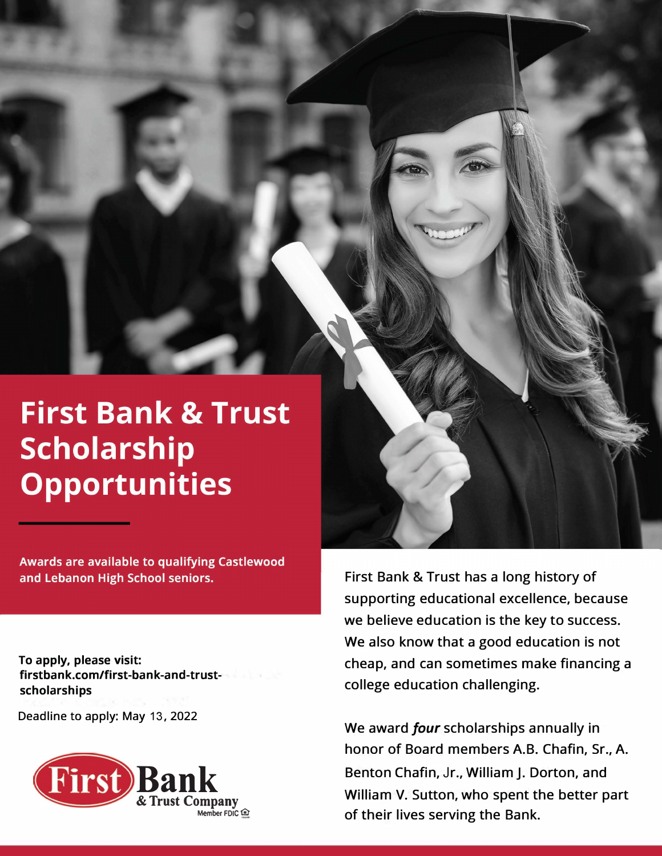# **First Bank & Trust Scholarship Opportunities**

**Awards are available to qualifying Castlewood** and Lebanon High School seniors.

**To apply, please visit: firstbank.com/first-bank-and-trustscholarships** 

Deadline to apply: May 13, 2022



First Bank & Trust has a long history of supporting educational excellence, because we believe education is the key to success. We also know that a good education is not cheap, and can sometimes make financing a college education challenging.

We award *four* scholarships annually in honor of Board members A.B. Chafin, Sr., A. Benton Chafin, Jr., William J. Dorton, and William V. Sutton, who spent the better part of their lives serving the Bank.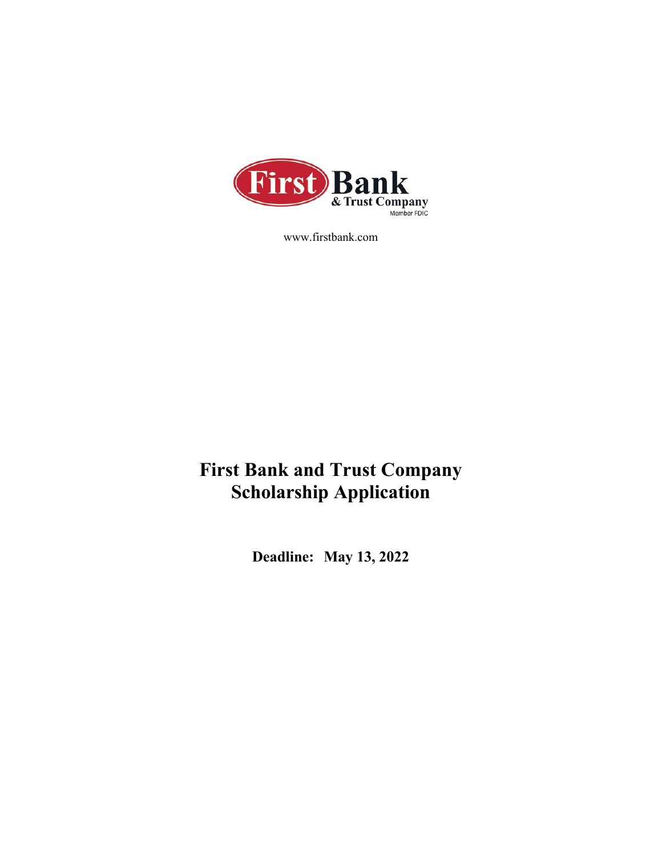

www.firstbank.com

### **First Bank and Trust Company Scholarship Application**

**Deadline: May 13, 2022**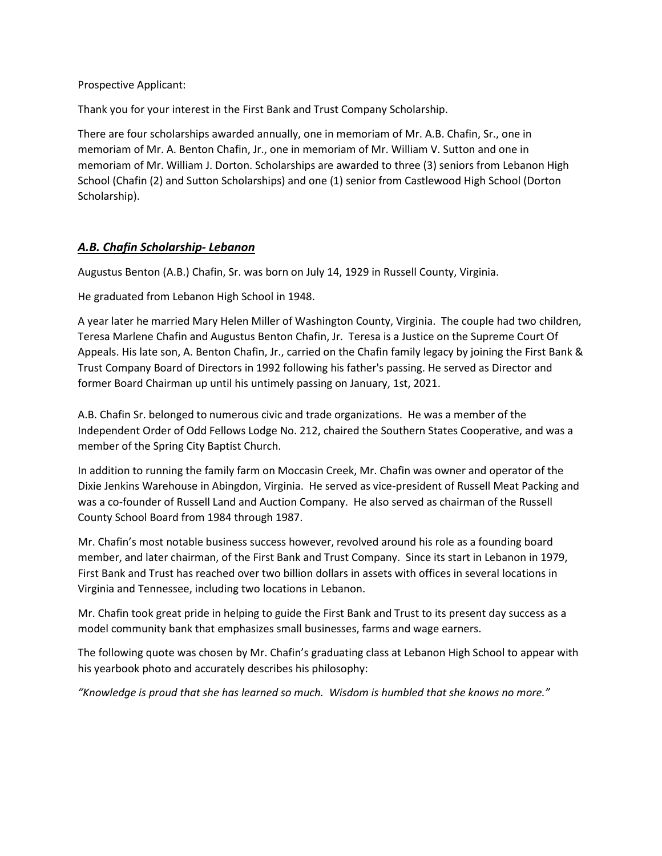Prospective Applicant:

Thank you for your interest in the First Bank and Trust Company Scholarship.

There are four scholarships awarded annually, one in memoriam of Mr. A.B. Chafin, Sr., one in memoriam of Mr. A. Benton Chafin, Jr., one in memoriam of Mr. William V. Sutton and one in memoriam of Mr. William J. Dorton. Scholarships are awarded to three (3) seniors from Lebanon High School (Chafin (2) and Sutton Scholarships) and one (1) senior from Castlewood High School (Dorton Scholarship).

#### *A.B. Chafin Scholarship- Lebanon*

Augustus Benton (A.B.) Chafin, Sr. was born on July 14, 1929 in Russell County, Virginia.

He graduated from Lebanon High School in 1948.

A year later he married Mary Helen Miller of Washington County, Virginia. The couple had two children, Teresa Marlene Chafin and Augustus Benton Chafin, Jr. Teresa is a Justice on the Supreme Court Of Appeals. His late son, A. Benton Chafin, Jr., carried on the Chafin family legacy by joining the First Bank & Trust Company Board of Directors in 1992 following his father's passing. He served as Director and former Board Chairman up until his untimely passing on January, 1st, 2021.

A.B. Chafin Sr. belonged to numerous civic and trade organizations. He was a member of the Independent Order of Odd Fellows Lodge No. 212, chaired the Southern States Cooperative, and was a member of the Spring City Baptist Church.

In addition to running the family farm on Moccasin Creek, Mr. Chafin was owner and operator of the Dixie Jenkins Warehouse in Abingdon, Virginia. He served as vice-president of Russell Meat Packing and was a co-founder of Russell Land and Auction Company. He also served as chairman of the Russell County School Board from 1984 through 1987.

Mr. Chafin's most notable business success however, revolved around his role as a founding board member, and later chairman, of the First Bank and Trust Company. Since its start in Lebanon in 1979, First Bank and Trust has reached over two billion dollars in assets with offices in several locations in Virginia and Tennessee, including two locations in Lebanon.

Mr. Chafin took great pride in helping to guide the First Bank and Trust to its present day success as a model community bank that emphasizes small businesses, farms and wage earners.

The following quote was chosen by Mr. Chafin's graduating class at Lebanon High School to appear with his yearbook photo and accurately describes his philosophy:

*"Knowledge is proud that she has learned so much. Wisdom is humbled that she knows no more."*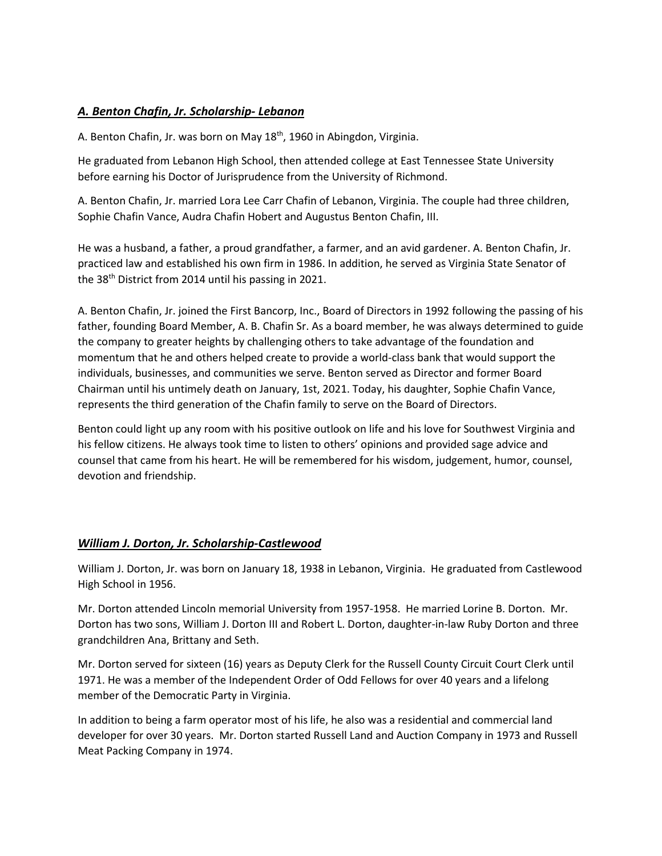#### *A. Benton Chafin, Jr. Scholarship- Lebanon*

A. Benton Chafin, Jr. was born on May 18<sup>th</sup>, 1960 in Abingdon, Virginia.

He graduated from Lebanon High School, then attended college at East Tennessee State University before earning his Doctor of Jurisprudence from the University of Richmond.

A. Benton Chafin, Jr. married Lora Lee Carr Chafin of Lebanon, Virginia. The couple had three children, Sophie Chafin Vance, Audra Chafin Hobert and Augustus Benton Chafin, III.

He was a husband, a father, a proud grandfather, a farmer, and an avid gardener. A. Benton Chafin, Jr. practiced law and established his own firm in 1986. In addition, he served as Virginia State Senator of the 38<sup>th</sup> District from 2014 until his passing in 2021.

A. Benton Chafin, Jr. joined the First Bancorp, Inc., Board of Directors in 1992 following the passing of his father, founding Board Member, A. B. Chafin Sr. As a board member, he was always determined to guide the company to greater heights by challenging others to take advantage of the foundation and momentum that he and others helped create to provide a world-class bank that would support the individuals, businesses, and communities we serve. Benton served as Director and former Board Chairman until his untimely death on January, 1st, 2021. Today, his daughter, Sophie Chafin Vance, represents the third generation of the Chafin family to serve on the Board of Directors.

Benton could light up any room with his positive outlook on life and his love for Southwest Virginia and his fellow citizens. He always took time to listen to others' opinions and provided sage advice and counsel that came from his heart. He will be remembered for his wisdom, judgement, humor, counsel, devotion and friendship.

#### *William J. Dorton, Jr. Scholarship-Castlewood*

William J. Dorton, Jr. was born on January 18, 1938 in Lebanon, Virginia. He graduated from Castlewood High School in 1956.

Mr. Dorton attended Lincoln memorial University from 1957-1958. He married Lorine B. Dorton. Mr. Dorton has two sons, William J. Dorton III and Robert L. Dorton, daughter-in-law Ruby Dorton and three grandchildren Ana, Brittany and Seth.

Mr. Dorton served for sixteen (16) years as Deputy Clerk for the Russell County Circuit Court Clerk until 1971. He was a member of the Independent Order of Odd Fellows for over 40 years and a lifelong member of the Democratic Party in Virginia.

In addition to being a farm operator most of his life, he also was a residential and commercial land developer for over 30 years. Mr. Dorton started Russell Land and Auction Company in 1973 and Russell Meat Packing Company in 1974.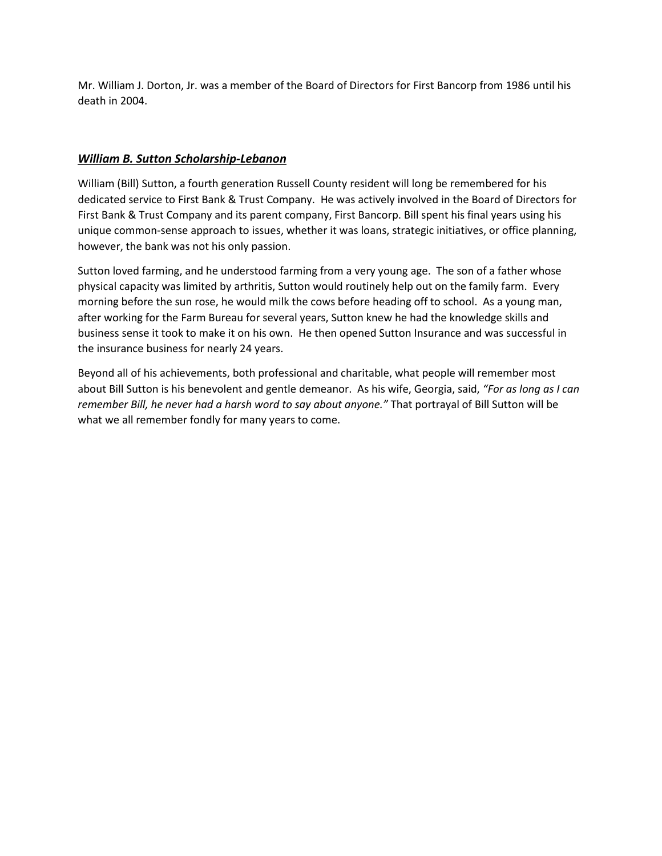Mr. William J. Dorton, Jr. was a member of the Board of Directors for First Bancorp from 1986 until his death in 2004.

#### *William B. Sutton Scholarship-Lebanon*

William (Bill) Sutton, a fourth generation Russell County resident will long be remembered for his dedicated service to First Bank & Trust Company. He was actively involved in the Board of Directors for First Bank & Trust Company and its parent company, First Bancorp. Bill spent his final years using his unique common-sense approach to issues, whether it was loans, strategic initiatives, or office planning, however, the bank was not his only passion.

Sutton loved farming, and he understood farming from a very young age. The son of a father whose physical capacity was limited by arthritis, Sutton would routinely help out on the family farm. Every morning before the sun rose, he would milk the cows before heading off to school. As a young man, after working for the Farm Bureau for several years, Sutton knew he had the knowledge skills and business sense it took to make it on his own. He then opened Sutton Insurance and was successful in the insurance business for nearly 24 years.

Beyond all of his achievements, both professional and charitable, what people will remember most about Bill Sutton is his benevolent and gentle demeanor. As his wife, Georgia, said, *"For as long as I can remember Bill, he never had a harsh word to say about anyone."* That portrayal of Bill Sutton will be what we all remember fondly for many years to come.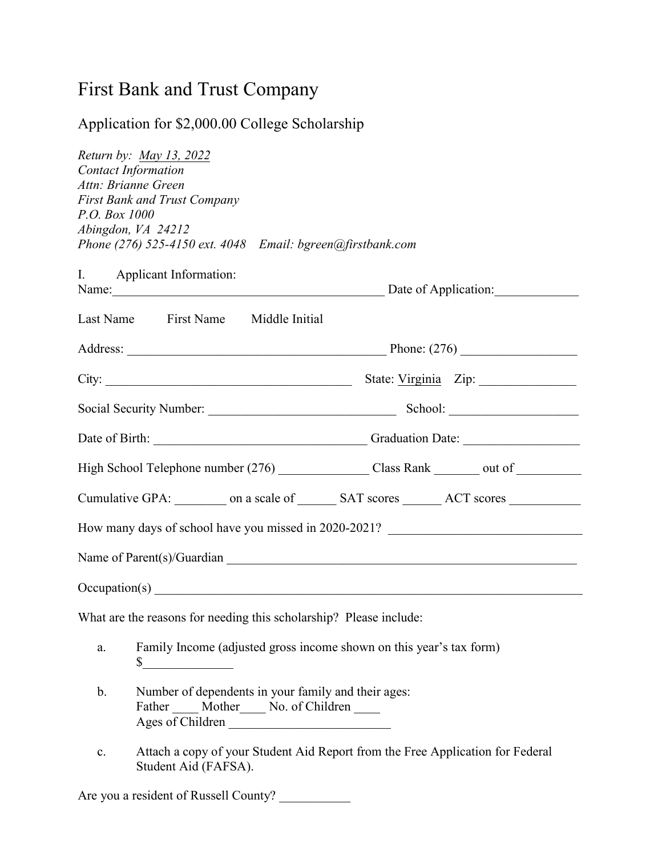## First Bank and Trust Company

### Application for \$2,000.00 College Scholarship

|               | Return by: May 13, 2022                                                                                                    |                                                                                                      |  |
|---------------|----------------------------------------------------------------------------------------------------------------------------|------------------------------------------------------------------------------------------------------|--|
|               | <b>Contact Information</b><br>Attn: Brianne Green                                                                          |                                                                                                      |  |
|               | <b>First Bank and Trust Company</b>                                                                                        |                                                                                                      |  |
| P.O. Box 1000 |                                                                                                                            |                                                                                                      |  |
|               | Abingdon, VA 24212                                                                                                         |                                                                                                      |  |
|               | Phone (276) 525-4150 ext. 4048 Email: bgreen@firstbank.com                                                                 |                                                                                                      |  |
|               | I. Applicant Information:                                                                                                  |                                                                                                      |  |
|               |                                                                                                                            | Name: Date of Application:                                                                           |  |
|               | Last Name First Name Middle Initial                                                                                        |                                                                                                      |  |
|               |                                                                                                                            |                                                                                                      |  |
|               |                                                                                                                            |                                                                                                      |  |
|               |                                                                                                                            |                                                                                                      |  |
|               |                                                                                                                            |                                                                                                      |  |
|               |                                                                                                                            | High School Telephone number (276) _______________________Class Rank __________ out of _____________ |  |
|               |                                                                                                                            | Cumulative GPA: __________ on a scale of ________ SAT scores ________ ACT scores __________________  |  |
|               |                                                                                                                            | How many days of school have you missed in 2020-2021?                                                |  |
|               |                                                                                                                            |                                                                                                      |  |
|               |                                                                                                                            |                                                                                                      |  |
|               | What are the reasons for needing this scholarship? Please include:                                                         |                                                                                                      |  |
| a.            | \$                                                                                                                         | Family Income (adjusted gross income shown on this year's tax form)                                  |  |
| $\mathbf b$ . | Number of dependents in your family and their ages:<br>Father _____ Mother _____ No. of Children _____<br>Ages of Children |                                                                                                      |  |
| $\mathbf{c}.$ | Student Aid (FAFSA).                                                                                                       | Attach a copy of your Student Aid Report from the Free Application for Federal                       |  |

Are you a resident of Russell County?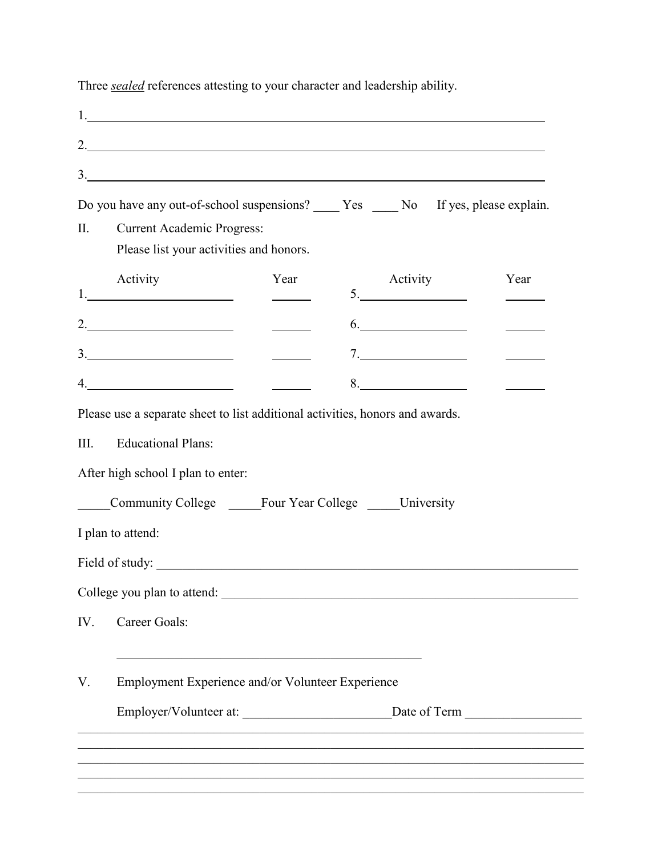1. 2. **3.** <u>**3.** *b b c b c c c c c c c c c c c c c c*</u> Do you have any out-of-school suspensions? Pes No If yes, please explain. II. Current Academic Progress: Please list your activities and honors. Activity Year Activity Year Activity Year Activity Year 1. 5.  $2.$  6. 3. 7.  $\frac{1}{2} \left( \frac{1}{2} \right)^2 \left( \frac{1}{2} \right)^2$ 4. 8.  $\overline{\phantom{a}}$ Please use a separate sheet to list additional activities, honors and awards. III. Educational Plans: After high school I plan to enter: Community College \_\_\_\_\_\_Four Year College \_\_\_\_\_University I plan to attend: Field of study: College you plan to attend: \_\_\_\_\_\_\_\_\_\_\_\_\_\_\_\_\_\_\_\_\_\_\_\_\_\_\_\_\_\_\_\_\_\_\_\_\_\_\_\_\_\_\_\_\_\_\_\_\_\_\_\_\_\_\_ IV. Career Goals: V. Employment Experience and/or Volunteer Experience Employer/Volunteer at: <br>
Date of Term  $\Box$ \_\_\_\_\_\_\_\_\_\_\_\_\_\_\_\_\_\_\_\_\_\_\_\_\_\_\_\_\_\_\_\_\_\_\_\_\_\_\_\_\_\_\_\_\_\_\_\_\_\_\_\_\_\_\_\_\_\_\_\_\_\_\_\_\_\_\_\_\_\_\_\_\_\_\_\_\_\_ \_\_\_\_\_\_\_\_\_\_\_\_\_\_\_\_\_\_\_\_\_\_\_\_\_\_\_\_\_\_\_\_\_\_\_\_\_\_\_\_\_\_\_\_\_\_\_\_\_\_\_\_\_\_\_\_\_\_\_\_\_\_\_\_\_\_\_\_\_\_\_\_\_\_\_\_\_\_ \_\_\_\_\_\_\_\_\_\_\_\_\_\_\_\_\_\_\_\_\_\_\_\_\_\_\_\_\_\_\_\_\_\_\_\_\_\_\_\_\_\_\_\_\_\_\_\_\_\_\_\_\_\_\_\_\_\_\_\_\_\_\_\_\_\_\_\_\_\_\_\_\_\_\_\_\_\_

Three *sealed* references attesting to your character and leadership ability.